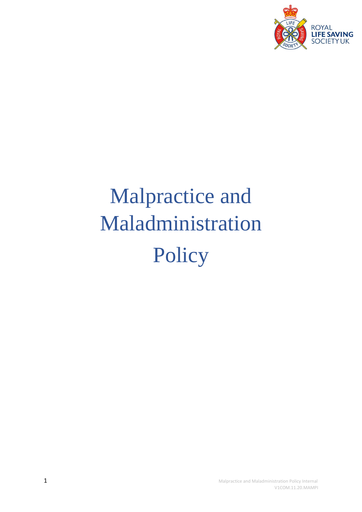

# Malpractice and Maladministration Policy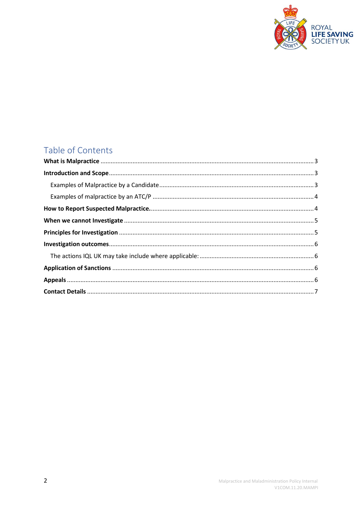

# Table of Contents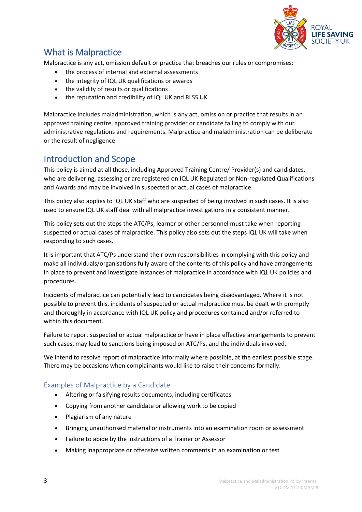

# <span id="page-2-0"></span>What is Malpractice

Malpractice is any act, omission default or practice that breaches our rules or compromises:

- the process of internal and external assessments
- the integrity of IQL UK qualifications or awards
- the validity of results or qualifications
- the reputation and credibility of IQL UK and RLSS UK

Malpractice includes maladministration, which is any act, omission or practice that results in an approved training centre, approved training provider or candidate failing to comply with our administrative regulations and requirements. Malpractice and maladministration can be deliberate or the result of negligence.

### <span id="page-2-1"></span>Introduction and Scope

This policy is aimed at all those, including Approved Training Centre/ Provider(s) and candidates, who are delivering, assessing or are registered on IQL UK Regulated or Non-regulated Qualifications and Awards and may be involved in suspected or actual cases of malpractice.

This policy also applies to IQL UK staff who are suspected of being involved in such cases. It is also used to ensure IQL UK staff deal with all malpractice investigations in a consistent manner.

This policy sets out the steps the ATC/Ps, learner or other personnel must take when reporting suspected or actual cases of malpractice. This policy also sets out the steps IQL UK will take when responding to such cases.

It is important that ATC/Ps understand their own responsibilities in complying with this policy and make all individuals/organisations fully aware of the contents of this policy and have arrangements in place to prevent and investigate instances of malpractice in accordance with IQL UK policies and procedures.

Incidents of malpractice can potentially lead to candidates being disadvantaged. Where it is not possible to prevent this, incidents of suspected or actual malpractice must be dealt with promptly and thoroughly in accordance with IQL UK policy and procedures contained and/or referred to within this document.

Failure to report suspected or actual malpractice or have in place effective arrangements to prevent such cases, may lead to sanctions being imposed on ATC/Ps, and the individuals involved.

We intend to resolve report of malpractice informally where possible, at the earliest possible stage. There may be occasions when complainants would like to raise their concerns formally.

#### <span id="page-2-2"></span>Examples of Malpractice by a Candidate

- Altering or falsifying results documents, including certificates
- Copying from another candidate or allowing work to be copied
- Plagiarism of any nature
- Bringing unauthorised material or instruments into an examination room or assessment
- Failure to abide by the instructions of a Trainer or Assessor
- Making inappropriate or offensive written comments in an examination or test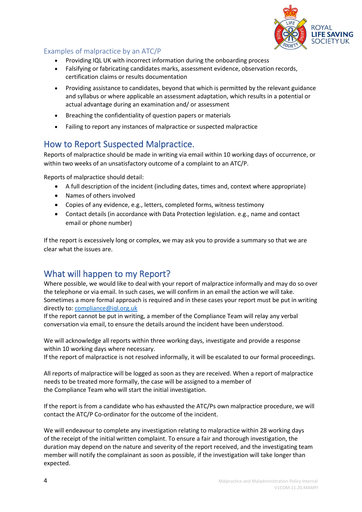

#### <span id="page-3-0"></span>Examples of malpractice by an ATC/P

- Providing IQL UK with incorrect information during the onboarding process
- Falsifying or fabricating candidates marks, assessment evidence, observation records, certification claims or results documentation
- Providing assistance to candidates, beyond that which is permitted by the relevant guidance and syllabus or where applicable an assessment adaptation, which results in a potential or actual advantage during an examination and/ or assessment
- Breaching the confidentiality of question papers or materials
- Failing to report any instances of malpractice or suspected malpractice

## <span id="page-3-1"></span>How to Report Suspected Malpractice.

Reports of malpractice should be made in writing via email within 10 working days of occurrence, or within two weeks of an unsatisfactory outcome of a complaint to an ATC/P.

Reports of malpractice should detail:

- A full description of the incident (including dates, times and, context where appropriate)
- Names of others involved
- Copies of any evidence, e.g., letters, completed forms, witness testimony
- Contact details (in accordance with Data Protection legislation. e.g., name and contact email or phone number)

If the report is excessively long or complex, we may ask you to provide a summary so that we are clear what the issues are.

# What will happen to my Report?

Where possible, we would like to deal with your report of malpractice informally and may do so over the telephone or via email. In such cases, we will confirm in an email the action we will take. Sometimes a more formal approach is required and in these cases your report must be put in writing directly to: [compliance@iql.org.uk](mailto:compliance@iql.org.uk) 

If the report cannot be put in writing, a member of the Compliance Team will relay any verbal conversation via email, to ensure the details around the incident have been understood.

We will acknowledge all reports within three working days, investigate and provide a response within 10 working days where necessary.

If the report of malpractice is not resolved informally, it will be escalated to our formal proceedings.

All reports of malpractice will be logged as soon as they are received. When a report of malpractice needs to be treated more formally, the case will be assigned to a member of the Compliance Team who will start the initial investigation.

If the report is from a candidate who has exhausted the ATC/Ps own malpractice procedure, we will contact the ATC/P Co-ordinator for the outcome of the incident.

We will endeavour to complete any investigation relating to malpractice within 28 working days of the receipt of the initial written complaint. To ensure a fair and thorough investigation, the duration may depend on the nature and severity of the report received, and the investigating team member will notify the complainant as soon as possible, if the investigation will take longer than expected.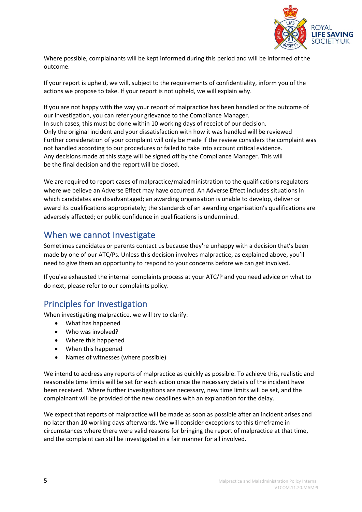

Where possible, complainants will be kept informed during this period and will be informed of the outcome.

If your report is upheld, we will, subject to the requirements of confidentiality, inform you of the actions we propose to take. If your report is not upheld, we will explain why.

If you are not happy with the way your report of malpractice has been handled or the outcome of our investigation, you can refer your grievance to the Compliance Manager. In such cases, this must be done within 10 working days of receipt of our decision. Only the original incident and your dissatisfaction with how it was handled will be reviewed Further consideration of your complaint will only be made if the review considers the complaint was not handled according to our procedures or failed to take into account critical evidence. Any decisions made at this stage will be signed off by the Compliance Manager. This will be the final decision and the report will be closed.

We are required to report cases of malpractice/maladministration to the qualifications regulators where we believe an Adverse Effect may have occurred. An Adverse Effect includes situations in which candidates are disadvantaged; an awarding organisation is unable to develop, deliver or award its qualifications appropriately; the standards of an awarding organisation's qualifications are adversely affected; or public confidence in qualifications is undermined.

### <span id="page-4-0"></span>When we cannot Investigate

Sometimes candidates or parents contact us because they're unhappy with a decision that's been made by one of our ATC/Ps. Unless this decision involves malpractice, as explained above, you'll need to give them an opportunity to respond to your concerns before we can get involved.

If you've exhausted the internal complaints process at your ATC/P and you need advice on what to do next, please refer to our complaints policy.

# <span id="page-4-1"></span>Principles for Investigation

When investigating malpractice, we will try to clarify:

- What has happened
- Who was involved?
- Where this happened
- When this happened
- Names of witnesses (where possible)

We intend to address any reports of malpractice as quickly as possible. To achieve this, realistic and reasonable time limits will be set for each action once the necessary details of the incident have been received. Where further investigations are necessary, new time limits will be set, and the complainant will be provided of the new deadlines with an explanation for the delay.

We expect that reports of malpractice will be made as soon as possible after an incident arises and no later than 10 working days afterwards. We will consider exceptions to this timeframe in circumstances where there were valid reasons for bringing the report of malpractice at that time, and the complaint can still be investigated in a fair manner for all involved.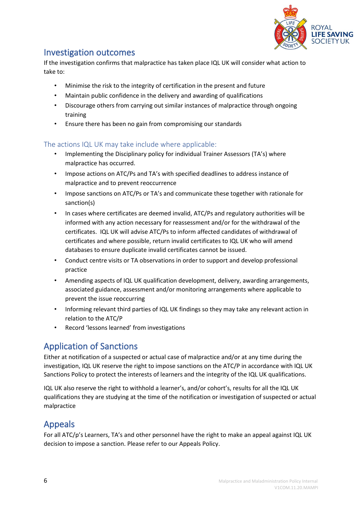

## <span id="page-5-0"></span>Investigation outcomes

If the investigation confirms that malpractice has taken place IQL UK will consider what action to take to:

- Minimise the risk to the integrity of certification in the present and future
- Maintain public confidence in the delivery and awarding of qualifications
- Discourage others from carrying out similar instances of malpractice through ongoing training
- Ensure there has been no gain from compromising our standards

#### <span id="page-5-1"></span>The actions IQL UK may take include where applicable:

- Implementing the Disciplinary policy for individual Trainer Assessors (TA's) where malpractice has occurred.
- Impose actions on ATC/Ps and TA's with specified deadlines to address instance of malpractice and to prevent reoccurrence
- Impose sanctions on ATC/Ps or TA's and communicate these together with rationale for sanction(s)
- In cases where certificates are deemed invalid, ATC/Ps and regulatory authorities will be informed with any action necessary for reassessment and/or for the withdrawal of the certificates. IQL UK will advise ATC/Ps to inform affected candidates of withdrawal of certificates and where possible, return invalid certificates to IQL UK who will amend databases to ensure duplicate invalid certificates cannot be issued.
- Conduct centre visits or TA observations in order to support and develop professional practice
- Amending aspects of IQL UK qualification development, delivery, awarding arrangements, associated guidance, assessment and/or monitoring arrangements where applicable to prevent the issue reoccurring
- Informing relevant third parties of IQL UK findings so they may take any relevant action in relation to the ATC/P
- Record 'lessons learned' from investigations

# <span id="page-5-2"></span>Application of Sanctions

Either at notification of a suspected or actual case of malpractice and/or at any time during the investigation, IQL UK reserve the right to impose sanctions on the ATC/P in accordance with IQL UK Sanctions Policy to protect the interests of learners and the integrity of the IQL UK qualifications.

IQL UK also reserve the right to withhold a learner's, and/or cohort's, results for all the IQL UK qualifications they are studying at the time of the notification or investigation of suspected or actual malpractice

# <span id="page-5-3"></span>Appeals

For all ATC/p's Learners, TA's and other personnel have the right to make an appeal against IQL UK decision to impose a sanction. Please refer to our Appeals Policy.